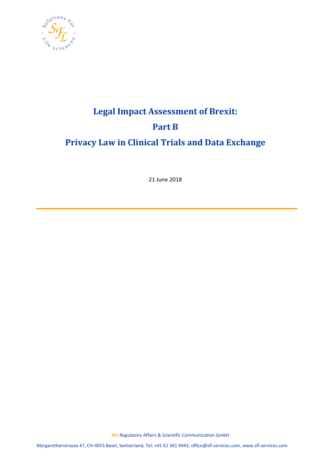

# **Legal Impact Assessment of Brexit: Part B Privacy Law in Clinical Trials and Data Exchange**

21 June 2018

**SFL** Regulatory Affairs & Scientific Communication GmbH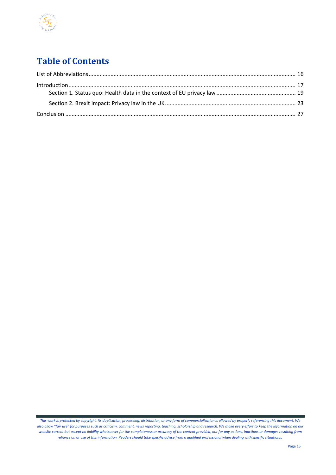

# **Table of Contents**

*This work is protected by copyright. Its duplication, processing, distribution, or any form of commercialization is allowed by properly referencing this document. We also allow "fair use" for purposes such as criticism, comment, news reporting, teaching, scholarship and research. We make every effort to keep the information on our website current but accept no liability whatsoever for the completeness or accuracy of the content provided, nor for any actions, inactions or damages resulting from reliance on or use of this information. Readers should take specific advice from a qualified professional when dealing with specific situations*.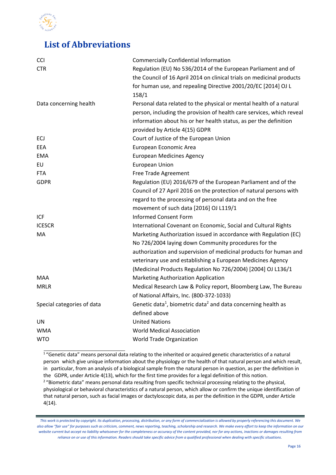

### <span id="page-2-0"></span>**List of Abbreviations**

| <b>CCI</b>                 | <b>Commercially Confidential Information</b>                                          |
|----------------------------|---------------------------------------------------------------------------------------|
| <b>CTR</b>                 | Regulation (EU) No 536/2014 of the European Parliament and of                         |
|                            | the Council of 16 April 2014 on clinical trials on medicinal products                 |
|                            | for human use, and repealing Directive 2001/20/EC [2014] OJ L                         |
|                            | 158/1                                                                                 |
| Data concerning health     | Personal data related to the physical or mental health of a natural                   |
|                            | person, including the provision of health care services, which reveal                 |
|                            | information about his or her health status, as per the definition                     |
|                            | provided by Article 4(15) GDPR                                                        |
| ECJ                        | Court of Justice of the European Union                                                |
| EEA                        | European Economic Area                                                                |
| <b>EMA</b>                 | <b>European Medicines Agency</b>                                                      |
| EU                         | <b>European Union</b>                                                                 |
| <b>FTA</b>                 | Free Trade Agreement                                                                  |
| <b>GDPR</b>                | Regulation (EU) 2016/679 of the European Parliament and of the                        |
|                            | Council of 27 April 2016 on the protection of natural persons with                    |
|                            | regard to the processing of personal data and on the free                             |
|                            | movement of such data [2016] OJ L119/1                                                |
| <b>ICF</b>                 | <b>Informed Consent Form</b>                                                          |
| <b>ICESCR</b>              | International Covenant on Economic, Social and Cultural Rights                        |
| МA                         | Marketing Authorization issued in accordance with Regulation (EC)                     |
|                            | No 726/2004 laying down Community procedures for the                                  |
|                            | authorization and supervision of medicinal products for human and                     |
|                            | veterinary use and establishing a European Medicines Agency                           |
|                            | (Medicinal Products Regulation No 726/2004) [2004] OJ L136/1                          |
| <b>MAA</b>                 | Marketing Authorization Application                                                   |
| <b>MRLR</b>                | Medical Research Law & Policy report, Bloomberg Law, The Bureau                       |
|                            | of National Affairs, Inc. (800-372-1033)                                              |
| Special categories of data | Genetic data <sup>1</sup> , biometric data <sup>2</sup> and data concerning health as |
|                            | defined above                                                                         |
| UN                         | <b>United Nations</b>                                                                 |
| <b>WMA</b>                 | <b>World Medical Association</b>                                                      |
| <b>WTO</b>                 | <b>World Trade Organization</b>                                                       |

<sup>1</sup>"Genetic data" means personal data relating to the inherited or acquired genetic characteristics of a natural person which give unique information about the physiology or the health of that natural person and which result, in particular, from an analysis of a biological sample from the natural person in question, as per the definition in the GDPR, under Article 4(13), which for the first time provides for a legal definition of this notion. <sup>2</sup> "Biometric data" means personal data resulting from specific technical processing relating to the physical, physiological or behavioral characteristics of a natural person, which allow or confirm the unique identification of that natural person, such as facial images or dactyloscopic data, as per the definition in the GDPR, under Article 4(14).

*This work is protected by copyright. Its duplication, processing, distribution, or any form of commercialization is allowed by properly referencing this document. We also allow "fair use" for purposes such as criticism, comment, news reporting, teaching, scholarship and research. We make every effort to keep the information on our website current but accept no liability whatsoever for the completeness or accuracy of the content provided, nor for any actions, inactions or damages resulting from reliance on or use of this information. Readers should take specific advice from a qualified professional when dealing with specific situations*.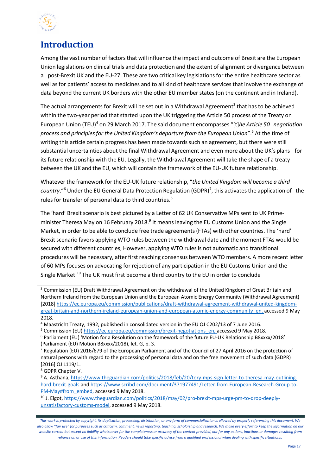

# <span id="page-3-0"></span>**Introduction**

Among the vast number of factors that will influence the impact and outcome of Brexit are the European Union legislations on clinical trials and data protection and the extent of alignment or divergence between a post-Brexit UK and the EU-27. These are two critical key legislations for the entire healthcare sector as well as for patients' access to medicines and to all kind of healthcare services that involve the exchange of data beyond the current UK borders with the other EU member states (on the continent and in Ireland).

The actual arrangements for Brexit will be set out in a Withdrawal Agreement<sup>3</sup> that has to be achieved within the two-year period that started upon the UK triggering the Article 50 process of the Treaty on European Union (TEU)<sup>4</sup> on 29 March 2017. The said document encompasses "[t]*he Article 50 negotiation process and principlesfor the United Kingdom's departure from the European Union*".5 At the time of writing this article certain progress has been made towards such an agreement, but there were still substantial uncertainties about the final Withdrawal Agreement and even more about the UK's plans for its future relationship with the EU. Legally, the Withdrawal Agreement will take the shape of a treaty between the UK and the EU, which will contain the framework of the EU-UK future relationship.

Whatever the framework for the EU-UK future relationship, "*the United Kingdom will become a third* country."<sup>6</sup> Under the EU General Data Protection Regulation (GDPR)<sup>7</sup>, this activates the application of the rules for transfer of personal data to third countries.<sup>8</sup>

The 'hard' Brexit scenario is best pictured by a Letter of 62 UK Conservative MPs sent to UK Primeminister Theresa May on 16 February 2018.<sup>9</sup> It means leaving the EU Customs Union and the Single Market, in order to be able to conclude free trade agreements (FTAs) with other countries. The 'hard' Brexit scenario favors applying WTO rules between the withdrawal date and the moment FTAs would be secured with different countries, However, applying WTO rulesis not automatic and transitional procedures will be necessary, after first reaching consensus between WTO members. A more recent letter of 60 MPs focuses on advocating for rejection of any participation in the EU Customs Union and the Single Market.<sup>10</sup> The UK must first become a third country to the EU in order to conclude

<sup>5</sup> Commission (EU[\) https://ec.europa.eu/commission/brexit-negotiations\\_en,](https://ec.europa.eu/commission/brexit-negotiations_en) accessed 9 May 2018.

<sup>&</sup>lt;sup>3</sup> Commission (EU) Draft Withdrawal Agreement on the withdrawal of the United Kingdom of Great Britain and Northern Ireland from the European Union and the European Atomic Energy Community (Withdrawal Agreement) [2018] [https://ec.europa.eu/commission/publications/draft-withdrawal-agreement-withdrawal-united-kingdom](https://ec.europa.eu/commission/publications/draft-withdrawal-agreement-withdrawal-united-kingdom-great-britain-and-northern-ireland-european-union-and-european-atomic-energy-community_en)[great-britain-and-northern-ireland-european-union-and-european-atomic-energy-community\\_en,](https://ec.europa.eu/commission/publications/draft-withdrawal-agreement-withdrawal-united-kingdom-great-britain-and-northern-ireland-european-union-and-european-atomic-energy-community_en) accessed 9 May 2018.

<sup>4</sup> Maastricht Treaty, 1992, published in consolidated version in the EU OJ C202/13 of 7 June 2016.

<sup>6</sup> Parliament (EU) 'Motion for a Resolution on the framework of the future EU-UK Relationship B8xxxx/2018' (Parliament (EU) Motion B8xxxx/2018), let. G, p. 3.

 $7$  Regulation (EU) 2016/679 of the European Parliament and of the Council of 27 April 2016 on the protection of natural persons with regard to the processing of personal data and on the free movement of such data (GDPR) [2016] OJ L119/1.

<sup>8</sup> GDPR Chapter V.

<sup>9</sup> A. Asthana, [https://www.theguardian.com/politics/2018/feb/20/tory-mps-sign-letter-to-theresa-may-outlining](https://www.theguardian.com/politics/2018/feb/20/tory-mps-sign-letter-to-theresa-may-outlining-hard-brexit-goals)[hard-](https://www.theguardian.com/politics/2018/feb/20/tory-mps-sign-letter-to-theresa-may-outlining-hard-brexit-goals)brexit-goals an[d https://www.scribd.com/document/371977491/Letter-from-European-Research-Group-to-](https://www.scribd.com/document/371977491/Letter-from-European-Research-Group-to-PM-May#from_embed)[PM-May#from\\_embed,](https://www.scribd.com/document/371977491/Letter-from-European-Research-Group-to-PM-May#from_embed) accessed 9 May 2018.

<sup>&</sup>lt;sup>10</sup> J. Elgot[, https://www.theguardian.com/politics/2018/may/02/pro-brexit-mps-urge-pm-to-drop-deeply](https://www.theguardian.com/politics/2018/may/02/pro-brexit-mps-urge-pm-to-drop-deeply-unsatisfactory-customs-model)[unsatisfactory-customs-model,](https://www.theguardian.com/politics/2018/may/02/pro-brexit-mps-urge-pm-to-drop-deeply-unsatisfactory-customs-model) accessed 9 May 2018.

*This work is protected by copyright. Its duplication, processing, distribution, or any form of commercialization is allowed by properly referencing this document. We also allow "fair use" for purposes such as criticism, comment, news reporting, teaching, scholarship and research. We make every effort to keep the information on our website current but accept no liability whatsoever for the completeness or accuracy of the content provided, nor for any actions, inactions or damages resulting from reliance on or use of this information. Readers should take specific advice from a qualified professional when dealing with specific situations*.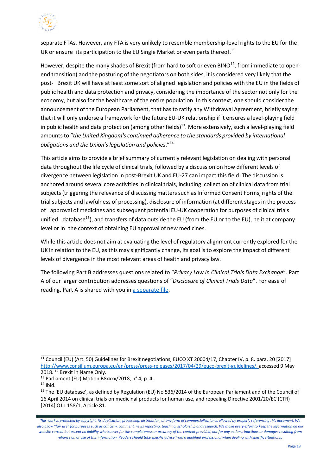

separate FTAs. However, any FTA is very unlikely to resemble membership-level rights to the EU for the UK or ensure its participation to the EU Single Market or even parts thereof.<sup>11</sup>

However, despite the many shades of Brexit (from hard to soft or even BINO<sup>12</sup>, from immediate to openend transition) and the posturing of the negotiators on both sides, it is considered very likely that the post- Brexit UK will have at least some sort of aligned legislation and policies with the EU in the fields of public health and data protection and privacy, considering the importance of the sector not only for the economy, but also for the healthcare of the entire population. In this context, one should consider the announcement of the European Parliament, that has to ratify any Withdrawal Agreement, briefly saying that it will only endorse a framework for the future EU-UK relationship if it ensures a level-playing field in public health and data protection (among other fields)<sup>13</sup>. More extensively, such a level-playing field amountsto "*the United Kingdom's continued adherence to the standards provided by international obligations and the Union'slegislation and policies*."<sup>14</sup>

This article aimsto provide a brief summary of currently relevant legislation on dealing with personal data throughout the life cycle of clinical trials, followed by a discussion on how different levels of divergence between legislation in post-Brexit UK and EU-27 can impact this field. The discussion is anchored around several core activities in clinical trials, including: collection of clinical data from trial subjects (triggering the relevance of discussing matters such as Informed Consent Forms, rights of the trial subjects and lawfulness of processing), disclosure of information (at differentstagesin the process of approval of medicines and subsequent potential EU-UK cooperation for purposes of clinical trials unified database<sup>15</sup>), and transfers of data outside the EU (from the EU or to the EU), be it at company level or in the context of obtaining EU approval of new medicines.

While this article does not aim at evaluating the level of regulatory alignment currently explored for the UK in relation to the EU, as this may significantly change, its goal is to explore the impact of different levels of divergence in the most relevant areas of health and privacy law.

The following Part B addresses questions related to "*Privacy Law in Clinical Trials Data Exchange*". Part A of our larger contribution addresses questions of "*Disclosure of Clinical Trials Data*". For ease of reading, Part A is shared with you in [a separate file.](http://www.sfl-services.com/news/Potential-Brexit-impact-on-the-conduct-of-clinical-trials)

<sup>&</sup>lt;sup>11</sup> Council (EU) (Art. 50) Guidelines for Brexit negotiations, EUCO XT 20004/17, Chapter IV, p. 8, para. 20 [2017] [http://www.consilium.europa.eu/en/press/press-releases/2017/04/29/euco-brexit-guidelines/,](http://www.consilium.europa.eu/en/press/press-releases/2017/04/29/euco-brexit-guidelines/) accessed 9 May 2018. <sup>12</sup> Brexit in Name Only.

<sup>13</sup> Parliament (EU) Motion B8xxxx/2018, n° 4, p. 4.

 $14$  Ibid.

<sup>&</sup>lt;sup>15</sup> The 'EU database', as defined by Regulation (EU) No 536/2014 of the European Parliament and of the Council of 16 April 2014 on clinical trials on medicinal products for human use, and repealing Directive 2001/20/EC (CTR) [2014] OJ L 158/1, Article 81.

*This work is protected by copyright. Its duplication, processing, distribution, or any form of commercialization is allowed by properly referencing this document. We also allow "fair use" for purposes such as criticism, comment, news reporting, teaching, scholarship and research. We make every effort to keep the information on our website current but accept no liability whatsoever for the completeness or accuracy of the content provided, nor for any actions, inactions or damages resulting from reliance on or use of this information. Readers should take specific advice from a qualified professional when dealing with specific situations*.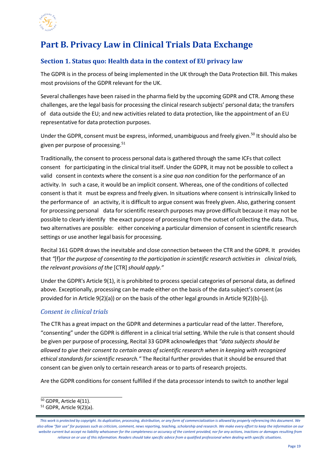

# **Part B. Privacy Law in Clinical Trials Data Exchange**

#### <span id="page-5-0"></span>**Section 1. Status quo: Health data in the context of EU privacy law**

The GDPR is in the process of being implemented in the UK through the Data Protection Bill. This makes most provisions of the GDPR relevant for the UK.

Several challenges have been raised in the pharma field by the upcoming GDPR and CTR. Among these challenges, are the legal basisfor processing the clinical research subjects' personal data; the transfers of data outside the EU; and new activities related to data protection, like the appointment of an EU representative for data protection purposes.

Under the GDPR, consent must be express, informed, unambiguous and freely given.<sup>[50](#page-5-1)</sup> It should also be given per purpose of processing.<sup>51</sup>

Traditionally, the consent to process personal data is gathered through the same ICFs that collect consent for participating in the clinical trial itself. Under the GDPR, it may not be possible to collect a valid consent in contexts where the consent is a *sine qua non* condition for the performance of an activity. In such a case, it would be an implicit consent. Whereas, one of the conditions of collected consent is that it must be express and freely given. In situations where consent is intrinsically linked to the performance of an activity, it is difficult to argue consent was freely given. Also, gathering consent for processing personal data for scientific research purposes may prove difficult because it may not be possible to clearly identify the exact purpose of processing from the outset of collecting the data. Thus, two alternatives are possible: either conceiving a particular dimension of consent in scientific research settings or use another legal basis for processing.

Recital 161 GDPR drawsthe inevitable and close connection between the CTR and the GDPR. It provides that *"*[f]*or the purpose of consenting to the participation in scientific research activitiesin clinical trials, the relevant provisions of the* [CTR]*should apply."*

Under the GDPR's Article 9(1), it is prohibited to process special categories of personal data, as defined above. Exceptionally, processing can be made either on the basis of the data subject's consent (as provided for in Article 9(2)(a)) or on the basis of the other legal grounds in Article 9(2)(b)-(j).

#### *Consent in clinical trials*

The CTR has a great impact on the GDPR and determines a particular read of the latter. Therefore, "consenting" under the GDPR is different in a clinical trial setting. While the rule is that consent should be given per purpose of processing, Recital 33 GDPR acknowledgesthat *"data subjectsshould be allowed to give their consent to certain areas of scientific research when in keeping with recognized ethical standardsfor scientific research."* The Recital further providesthat it should be ensured that consent can be given only to certain research areas or to parts of research projects.

Are the GDPR conditions for consent fulfilled if the data processor intends to switch to another legal

<span id="page-5-1"></span><sup>&</sup>lt;sup>50</sup> GDPR, Article 4(11).

<span id="page-5-2"></span><sup>51</sup> GDPR, Article 9(2)(a).

*This work is protected by copyright. Its duplication, processing, distribution, or any form of commercialization is allowed by properly referencing this document. We also allow "fair use" for purposes such as criticism, comment, news reporting, teaching, scholarship and research. We make every effort to keep the information on our website current but accept no liability whatsoever for the completeness or accuracy of the content provided, nor for any actions, inactions or damages resulting from reliance on or use of this information. Readers should take specific advice from a qualified professional when dealing with specific situations*.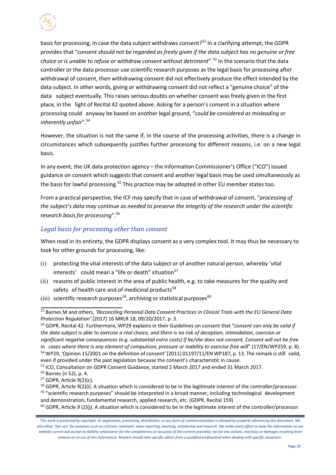

basis for processing, in case the data subject withdraws consent?<sup>52</sup> In a clarifying attempt, the GDPR provides that "c*onsent should not be regarded as freely given if the data subject has no genuine or free choice or is unable to refuse or withdraw consent without detriment*".[53](#page-6-1) In the scenario that the data controller or the data processor use scientific research purposes as the legal basis for processing after withdrawal of consent, then withdrawing consent did not effectively produce the effect intended by the data subject. In other words, giving or withdrawing consent did not reflect a "genuine choice" of the data subject eventually. This raises serious doubts on whether consent was freely given in the first place, in the light of Recital 42 quoted above. Asking for a person's consent in a situation where processing could anyway be based on another legal ground, "*could be considered as misleading or inherently unfair*"[.54](#page-6-2)

However, the situation is not the same if, in the course of the processing activities, there is a change in circumstances which subsequently justifies further processing for different reasons, i.e. on a new legal basis.

In any event, the UK data protection agency – the Information Commissioner's Office ("ICO") issued guidance on consent which suggests that consent and another legal basis may be used simultaneously as the basis for lawful processing.<sup>55</sup> This practice may be adopted in other EU member states too.

From a practical perspective, the ICF may specify that in case of withdrawal of consent, "*processing of the subject's data may continue as needed to preserve the integrity of the research under the scientific research basisfor processing*"[.56](#page-6-4)

#### *Legal basis for processing other than consent*

When read in its entirety, the GDPR displays consent as a very complex tool. It may thus be necessary to look for other grounds for processing, like:

- (i) protecting the vital interests of the data subject or of another natural person, whereby 'vital interests' could mean a "life or death" situation<sup>57</sup>
- (ii) reasons of public interest in the area of public health, e.g. to take measures for the quality and safety of health care and of medicinal products<sup>[58](#page-6-6)</sup>
- (iii) scientific research purposes<sup>59</sup>, archiving or statistical purposes<sup>[60](#page-7-1)</sup>

 $60$  GDPR, Article 9 (2)(j). A situation which is considered to be in the legitimate interest of the controller/processor.

<span id="page-6-0"></span><sup>52</sup> Barnes M and others, '*Reconciling Personal Data Consent Practices in Clinical Trials with the EU General Data Protection Regulation'* [2017] 16 MRLR 18, 09/20/2017, p. 3.

<span id="page-6-1"></span><sup>53</sup> GDPR, Recital 42. Furthermore, WP29 explains in their Guidelines on consent that "*consent can only be valid if the data subject is able to exercise a real choice, and there is no risk of deception, intimidation, coercion or significant negative consequences (e.g. substantial extra costs) if he/she does not consent. Consent will not be free in cases where there is any element of compulsion, pressure or inability to exercise free will*" (17/EN/WP259, p. 8). <sup>54</sup> WP29, 'Opinion 15/2001 on the definition of consent' [2011] 01197/11/EN WP187, p. 13. The remark is still valid, even if provided under the past legislation because the consent's characteristic in cause.

<span id="page-6-3"></span><span id="page-6-2"></span><sup>55</sup> ICO, Consultation on GDPR Consent Guidance, started 2 March 2017 and ended 31 March 2017.

<span id="page-6-4"></span><sup>56</sup> Barnes (n 52), p. 4.

<span id="page-6-5"></span><sup>57</sup> GDPR, Article 9(2)(c).

<span id="page-6-6"></span><sup>&</sup>lt;sup>58</sup> GDPR, Article 9(2)(i). A situation which is considered to be in the legitimate interest of the controller/processor. 59 "scientific research purposes" should be interpreted in a broad manner, including technological development and demonstration, fundamental research, applied research, etc. (GDPR, Recital 159)

*This work is protected by copyright. Its duplication, processing, distribution, or any form of commercialization is allowed by properly referencing this document. We also allow "fair use" for purposes such as criticism, comment, news reporting, teaching, scholarship and research. We make every effort to keep the information on our website current but accept no liability whatsoever for the completeness or accuracy of the content provided, nor for any actions, inactions or damages resulting from reliance on or use of this information. Readers should take specific advice from a qualified professional when dealing with specific situations*.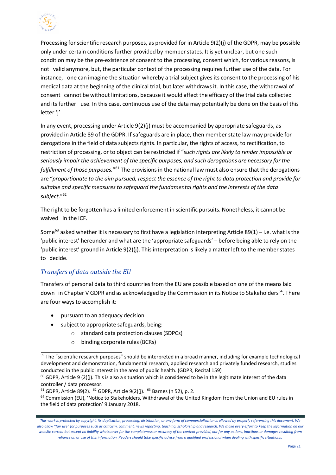

Processing for scientific research purposes, as provided for in Article 9(2)(j) of the GDPR, may be possible only under certain conditions further provided by member states. It is yet unclear, but one such condition may be the pre-existence of consent to the processing, consent which, for various reasons, is not valid anymore, but, the particular context of the processing requires further use of the data. For instance, one can imagine the situation whereby a trial subject gives its consent to the processing of his medical data at the beginning of the clinical trial, but later withdraws it. In this case, the withdrawal of consent cannot be without limitations, because it would affect the efficacy of the trial data collected and its further use. In this case, continuous use of the data may potentially be done on the basis of this letter 'j'.

In any event, processing under Article 9(2)(j) must be accompanied by appropriate safeguards, as provided in Article 89 of the GDPR. If safeguards are in place, then member state law may provide for derogations in the field of data subjects rights. In particular, the rights of access, to rectification, to restriction of processing, or to object can be restricted if "*such rights are likely to render impossible or seriously impair the achievement of the specific purposes, and such derogations are necessary for the fulfillment of those purposes.*"[61](#page-7-2) The provisionsin the national law must also ensure that the derogations are "proportionate to the aim pursued, respect the essence of the right to data protection and provide for *suitable and specific measures to safeguard the fundamental rights and the interests of the data subject*."[62](#page-7-3)

The right to be forgotten has a limited enforcement in scientific pursuits. Nonetheless, it cannot be waived in the ICF.

Some<sup>[63](#page-7-4)</sup> asked whether it is necessary to first have a legislation interpreting Article 89(1) – i.e. what is the 'public interest' hereunder and what are the 'appropriate safeguards' – before being able to rely on the 'public interest' ground in Article 9(2)(j). This interpretation is likely a matter left to the member states to decide.

#### *Transfers of data outside the EU*

Transfers of personal data to third countries from the EU are possible based on one of the meanslaid down in Chapter V GDPR and as acknowledged by the Commission in its Notice to Stakeholders<sup>64</sup>. There are four ways to accomplish it:

- pursuant to an adequacy decision
- subject to appropriate safeguards, being:
	- standard data protection clauses (SDPCs)
	- o binding corporate rules(BCRs)

<span id="page-7-0"></span><sup>&</sup>lt;sup>59</sup> The "scientific research purposes" should be interpreted in a broad manner, including for example technological development and demonstration, fundamental research, applied research and privately funded research, studies conducted in the public interest in the area of public health. (GDPR, Recital 159)

<span id="page-7-1"></span> $60$  GDPR, Article 9 (2)(j). This is also a situation which is considered to be in the legitimate interest of the data controller / data processor.

<span id="page-7-4"></span><span id="page-7-3"></span><span id="page-7-2"></span> $61$  GDPR, Article 89(2).  $62$  GDPR, Article 9(2)(j).  $63$  Barnes (n 52), p. 2.

<span id="page-7-5"></span><sup>&</sup>lt;sup>64</sup> Commission (EU), 'Notice to Stakeholders, Withdrawal of the United Kingdom from the Union and EU rules in the field of data protection' 9 January 2018.

*This work is protected by copyright. Its duplication, processing, distribution, or any form of commercialization is allowed by properly referencing this document. We also allow "fair use" for purposes such as criticism, comment, news reporting, teaching, scholarship and research. We make every effort to keep the information on our website current but accept no liability whatsoever for the completeness or accuracy of the content provided, nor for any actions, inactions or damages resulting from reliance on or use of this information. Readers should take specific advice from a qualified professional when dealing with specific situations*.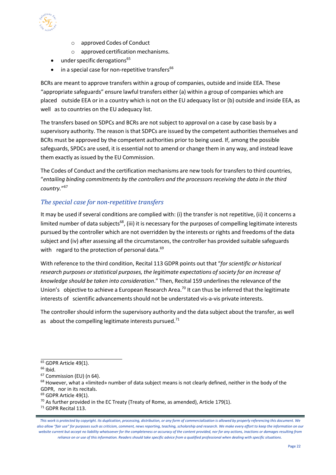

- o approved Codes of Conduct
- $o$  approved certification mechanisms.
- $\bullet$  under specific derogations<sup>[65](#page-8-0)</sup>
- $\bullet$  in a special case for non-repetitive transfers<sup>[66](#page-8-1)</sup>

BCRs are meant to approve transfers within a group of companies, outside and inside EEA. These "appropriate safeguards" ensure lawful transfers either (a) within a group of companies which are placed outside EEA or in a country which is not on the EU adequacy list or (b) outside and inside EEA, as well as to countries on the EU adequacy list.

The transfers based on SDPCs and BCRs are not subject to approval on a case by case basis by a supervisory authority. The reason is that SDPCs are issued by the competent authorities themselves and BCRs must be approved by the competent authorities prior to being used. If, among the possible safeguards, SPDCs are used, it is essential not to amend or change them in any way, and instead leave them exactly as issued by the EU Commission.

The Codes of Conduct and the certification mechanisms are new tools for transfers to third countries, "*entailing binding commitments by the controllers and the processorsreceiving the data in the third country.*"[67](#page-8-2)

#### *The special case for non-repetitive transfers*

It may be used if several conditions are complied with: (i) the transfer is not repetitive, (ii) it concerns a limited number of data subjects<sup>68</sup>, (iii) it is necessary for the purposes of compelling legitimate interests pursued by the controller which are not overridden by the interests or rights and freedoms of the data subject and (iv) after assessing all the circumstances, the controller has provided suitable safeguards with regard to the protection of personal data.<sup>[69](#page-8-4)</sup>

With reference to the third condition, Recital 113 GDPR points out that "*for scientific or historical research purposes or statistical purposes, the legitimate expectations of society for an increase of knowledge should be taken into consideration*." Then, Recital 159 underlinesthe relevance of the Union's objective to achieve a European Research Area.<sup>[70](#page-8-5)</sup> It can thus be inferred that the legitimate interests of scientific advancements should not be understated vis-a-vis private interests.

The controller should inform the supervisory authority and the data subject about the transfer, as well as about the compelling legitimate interests pursued. $71$ 

<span id="page-8-0"></span> $65$  GDPR Article 49(1).

<span id="page-8-1"></span> $66$  Ibid.

<span id="page-8-2"></span><sup>67</sup> Commission (EU) (n 64).

<span id="page-8-3"></span><sup>&</sup>lt;sup>68</sup> However, what a «limited» number of data subject means is not clearly defined, neither in the body of the GDPR, nor in its recitals.

<span id="page-8-4"></span><sup>&</sup>lt;sup>69</sup> GDPR Article 49(1).

<span id="page-8-5"></span> $70$  As further provided in the EC Treaty (Treaty of Rome, as amended), Article 179(1).

<span id="page-8-6"></span><sup>71</sup> GDPR Recital 113.

*This work is protected by copyright. Its duplication, processing, distribution, or any form of commercialization is allowed by properly referencing this document. We also allow "fair use" for purposes such as criticism, comment, news reporting, teaching, scholarship and research. We make every effort to keep the information on our website current but accept no liability whatsoever for the completeness or accuracy of the content provided, nor for any actions, inactions or damages resulting from reliance on or use of this information. Readers should take specific advice from a qualified professional when dealing with specific situations*.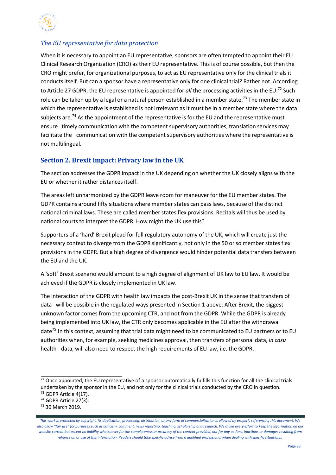

#### *The EU representative for data protection*

When it is necessary to appoint an EU representative, sponsors are often tempted to appoint their EU Clinical Research Organization (CRO) astheir EU representative. This is of course possible, but then the CRO might prefer, for organizational purposes, to act as EU representative only for the clinical trialsit conductsitself. But can a sponsor have a representative only for one clinical trial? Rather not. According to Article 27 GDPR, the EU representative is appointed for *all* the processing activities in the EU.[72](#page-9-1) Such role can be taken up by a legal or a natural person established in a member state.<sup>[73](#page-9-2)</sup> The member state in which the representative is established is not irrelevant as it must be in a member state where the data subjects are.<sup>[74](#page-9-3)</sup> As the appointment of the representative is for the EU and the representative must ensure timely communication with the competent supervisory authorities, translation services may facilitate the communication with the competent supervisory authorities where the representative is not multilingual.

#### <span id="page-9-0"></span>**Section 2. Brexit impact: Privacy law in the UK**

The section addressesthe GDPR impact in the UK depending on whether the UK closely aligns with the EU or whether it rather distances itself.

The areasleft unharmonized by the GDPR leave room for maneuver for the EU member states. The GDPR contains around fifty situations where member states can passlaws, because of the distinct national criminal laws. These are called member states flex provisions. Recitals will thus be used by national courts to interpret the GDPR. How might the UK use this?

Supporters of a 'hard' Brexit plead for full regulatory autonomy of the UK, which will create just the necessary context to diverge from the GDPR significantly, not only in the 50 or so member states flex provisions in the GDPR. But a high degree of divergence would hinder potential data transfers between the EU and the UK.

A 'soft' Brexit scenario would amount to a high degree of alignment of UK law to EU law. It would be achieved if the GDPR is closely implemented in UK law.

The interaction of the GDPR with health law impacts the post-Brexit UK in the sense that transfers of data will be possible in the regulated ways presented in Section 1 above. After Brexit, the biggest unknown factor comes from the upcoming CTR, and not from the GDPR. While the GDPR is already being implemented into UK law, the CTR only becomes applicable in the EU after the withdrawal date<sup>75</sup>. In this context, assuming that trial data might need to be communicated to EU partners or to EU authorities when, for example, seeking medicines approval, then transfers of personal data, *in casu* health data, will also need to respect the high requirements of EU law, i.e. the GDPR.

<span id="page-9-1"></span> $\frac{72}{2}$  Once appointed, the EU representative of a sponsor automatically fulfills this function for all the clinical trials undertaken by the sponsor in the EU, and not only for the clinical trials conducted by the CRO in question. <sup>73</sup> GDPR Article 4(17),

<span id="page-9-3"></span><span id="page-9-2"></span><sup>74</sup> GDPR Article 27(3).

<span id="page-9-4"></span><sup>75</sup> 30 March 2019.

*This work is protected by copyright. Its duplication, processing, distribution, or any form of commercialization is allowed by properly referencing this document. We also allow "fair use" for purposes such as criticism, comment, news reporting, teaching, scholarship and research. We make every effort to keep the information on our website current but accept no liability whatsoever for the completeness or accuracy of the content provided, nor for any actions, inactions or damages resulting from reliance on or use of this information. Readers should take specific advice from a qualified professional when dealing with specific situations*.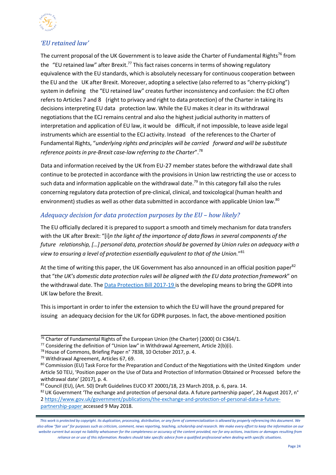

#### *'EU retained law'*

The current proposal of the UK Government is to leave aside the Charter of Fundamental Rights<sup>[76](#page-10-0)</sup> from the "EU retained law" after Brexit.<sup>77</sup> This fact raises concerns in terms of showing regulatory equivalence with the EU standards, which is absolutely necessary for continuous cooperation between the EU and the UK after Brexit. Moreover, adopting a selective (also referred to as "cherry-picking") system in defining the "EU retained law" creates further inconsistency and confusion: the ECJ often refers to Articles 7 and 8 (right to privacy and right to data protection) of the Charter in taking its decisions interpreting EU data protection law. While the EU makesit clear in its withdrawal negotiations that the ECJ remains central and also the highest judicial authority in matters of interpretation and application of EU law, it would be difficult, if not impossible, to leave aside legal instruments which are essential to the ECJ activity. Instead of the references to the Charter of Fundamental Rights, "*underlying rights and principles will be carried forward and will be substitute reference pointsin pre-Brexit case-law referring to the Charter*"[.78](#page-10-2)

Data and information received by the UK from EU-27 member states before the withdrawal date shall continue to be protected in accordance with the provisions in Union law restricting the use or access to such data and information applicable on the withdrawal date.<sup>[79](#page-10-3)</sup> In this category fall also the rules concerning regulatory data protection of pre-clinical, clinical, and toxicological (human health and environment) studies as well as other data submitted in accordance with applicable Union law.<sup>[80](#page-10-4)</sup>

#### *Adequacy decision for data protection purposes by the EU – how likely?*

The EU officially declared it is prepared to support a smooth and timely mechanism for data transfers with the UK after Brexit: "[i]*n the light of the importance of data flows in several components of the future relationship, […] personal data, protection should be governed by Union rules on adequacy with a view to ensuring a level of protection essentially equivalent to that of the Union.*"[81](#page-10-5)

At the time of writing this paper, the UK Government has also announced in an official position paper<sup>[82](#page-10-6)</sup> that "*the UK's domestic data protection rules will be aligned with the EU data protection framework*" on the withdrawal date. The Data [Protection](https://services.parliament.uk/bills/2017-19/dataprotection.html) Bill 2017-19 is the developing means to bring the GDPR into UK law before the Brexit.

This is important in order to infer the extension to which the EU will have the ground prepared for issuing an adequacy decision for the UK for GDPR purposes. In fact, the above-mentioned position

[partnership-](https://www.gov.uk/government/publications/the-exchange-and-protection-of-personal-data-a-future-partnership-)[paper](https://www.gov.uk/government/publications/the-exchange-and-protection-of-personal-data-a-future-partnership-paper) accessed 9 May 2018.

<span id="page-10-0"></span> $\frac{76}{6}$  Charter of Fundamental Rights of the European Union (the Charter) [2000] OJ C364/1.

<span id="page-10-1"></span> $77$  Considering the definition of "Union law" in Withdrawal Agreement, Article 2(b)(i).

<span id="page-10-2"></span><sup>78</sup>House of Commons, Briefing Paper n° 7838, 10 October 2017, p. 4.

<span id="page-10-3"></span><sup>&</sup>lt;sup>79</sup> Withdrawal Agreement, Articles 67, 69.

<span id="page-10-4"></span><sup>80</sup> Commission (EU) Task Force for the Preparation and Conduct of the Negotiations with the United Kingdom under Article 50 TEU, 'Position paper on the Use of Data and Protection of Information Obtained or Processed before the withdrawal date' [2017], p. 4.

<span id="page-10-5"></span><sup>81</sup> Council (EU), (Art. 50) Draft Guidelines EUCO XT 20001/18, 23 March 2018, p. 6, para. 14.

<span id="page-10-6"></span> $82$  UK Government 'The exchange and protection of personal data. A future partnership paper', 24 August 2017, n° [2 https://www.gov.uk/government/publications/the-exchange-and-protection-of-personal-data-a-future-](https://www.gov.uk/government/publications/the-exchange-and-protection-of-personal-data-a-future-partnership-)

*This work is protected by copyright. Its duplication, processing, distribution, or any form of commercialization is allowed by properly referencing this document. We also allow "fair use" for purposes such as criticism, comment, news reporting, teaching, scholarship and research. We make every effort to keep the information on our website current but accept no liability whatsoever for the completeness or accuracy of the content provided, nor for any actions, inactions or damages resulting from reliance on or use of this information. Readers should take specific advice from a qualified professional when dealing with specific situations*.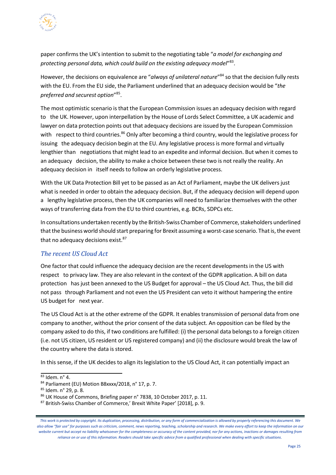

paper confirmsthe UK'sintention to submit to the negotiating table "*a model for exchanging and protecting personal data, which could build on the existing adequacy model*"[83.](#page-11-0)

However, the decisions on equivalence are "*always of unilateral nature*"[84](#page-11-1) so that the decision fully rests with the EU. From the EU side, the Parliament underlined that an adequacy decision would be "*the preferred and securest option*"[85.](#page-11-2)

The most optimistic scenario isthat the European Commission issues an adequacy decision with regard to the UK. However, upon interpellation by the House of Lords Select Committee, a UK academic and lawyer on data protection points out that adequacy decisions are issued by the European Commission with respect to third countries.<sup>86</sup> Only after becoming a third country, would the legislative process for issuing the adequacy decision begin at the EU. Any legislative process is more formal and virtually lengthier than negotiations that might lead to an expedite and informal decision. But when it comes to an adequacy decision, the ability to make a choice between these two is not really the reality. An adequacy decision in itself needs to follow an orderly legislative process.

With the UK Data Protection Bill yet to be passed as an Act of Parliament, maybe the UK delivers just what is needed in order to obtain the adequacy decision. But, if the adequacy decision will depend upon a lengthy legislative process, then the UK companies will need to familiarize themselves with the other ways of transferring data from the EU to third countries, e.g. BCRs, SDPCs etc.

In consultations undertaken recently by the British-Swiss Chamber of Commerce, stakeholders underlined that the business world should start preparing for Brexit assuming a worst-case scenario. That is, the event that no adequacy decisions exist.<sup>[87](#page-11-4)</sup>

#### *The recent US Cloud Act*

One factor that could influence the adequacy decision are the recent developmentsin the US with respect to privacy law. They are also relevant in the context of the GDPR application. A bill on data protection has just been annexed to the US Budget for approval – the US Cloud Act. Thus, the bill did not pass through Parliament and not even the US President can veto it without hampering the entire US budget for next year.

The US Cloud Act is at the other extreme of the GDPR. It enables transmission of personal data from one company to another, without the prior consent of the data subject. An opposition can be filed by the company asked to do this, if two conditions are fulfilled: (i) the personal data belongs to a foreign citizen (i.e. not US citizen, US resident or US registered company) and (ii) the disclosure would break the law of the country where the data is stored.

In this sense, if the UK decides to align its legislation to the US Cloud Act, it can potentially impact an

<span id="page-11-0"></span><sup>83</sup> Idem. n° 4.

<span id="page-11-1"></span><sup>84</sup> Parliament (EU) Motion B8xxxx/2018, n° 17, p. 7.

<span id="page-11-2"></span><sup>85</sup> Idem. n° 29, p. 8.

<span id="page-11-3"></span><sup>86</sup> UK House of Commons, Briefing paper n° 7838, 10 October 2017, p. 11.

<span id="page-11-4"></span><sup>87</sup> British-Swiss Chamber of Commerce,' Brexit White Paper' [2018], p. 9.

*This work is protected by copyright. Its duplication, processing, distribution, or any form of commercialization is allowed by properly referencing this document. We also allow "fair use" for purposes such as criticism, comment, news reporting, teaching, scholarship and research. We make every effort to keep the information on our website current but accept no liability whatsoever for the completeness or accuracy of the content provided, nor for any actions, inactions or damages resulting from reliance on or use of this information. Readers should take specific advice from a qualified professional when dealing with specific situations*.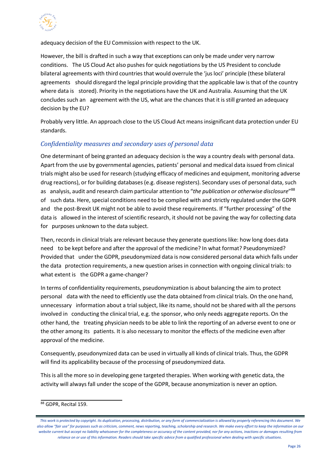

adequacy decision of the EU Commission with respect to the UK.

However, the bill is drafted in such a way that exceptions can only be made under very narrow conditions. The US Cloud Act also pushes for quick negotiations by the US President to conclude bilateral agreements with third countries that would overrule the 'jus loci' principle (these bilateral agreements should disregard the legal principle providing that the applicable law is that of the country where data is stored). Priority in the negotiations have the UK and Australia. Assuming that the UK concludes such an agreement with the US, what are the chances that it is still granted an adequacy decision by the EU?

Probably very little. An approach close to the US Cloud Act means insignificant data protection under EU standards.

#### *Confidentiality measures and secondary uses of personal data*

One determinant of being granted an adequacy decision is the way a country deals with personal data. Apart from the use by governmental agencies, patients' personal and medical data issued from clinical trials might also be used for research (studying efficacy of medicines and equipment, monitoring adverse drug reactions), or for building databases (e.g. disease registers). Secondary uses of personal data, such as analysis, audit and research claim particular attention to "*the publication or otherwise disclosure*"[88](#page-12-0) of such data. Here, special conditions need to be complied with and strictly regulated under the GDPR and the post-Brexit UK might not be able to avoid these requirements. If "further processing" of the data is allowed in the interest of scientific research, it should not be paving the way for collecting data for purposes unknown to the data subject.

Then, records in clinical trials are relevant because they generate questions like: how long does data need to be kept before and after the approval of the medicine? In what format? Pseudonymized? Provided that under the GDPR, pseudonymized data is now considered personal data which falls under the data protection requirements, a new question arisesin connection with ongoing clinical trials: to what extent is the GDPR a game-changer?

In terms of confidentiality requirements, pseudonymization is about balancing the aim to protect personal data with the need to efficiently use the data obtained from clinical trials. On the one hand, unnecessary information about a trial subject, like its name, should not be shared with all the persons involved in conducting the clinical trial, e.g. the sponsor, who only needs aggregate reports. On the other hand, the treating physician needs to be able to link the reporting of an adverse event to one or the other among its patients. It is also necessary to monitor the effects of the medicine even after approval of the medicine.

Consequently, pseudonymized data can be used in virtually all kinds of clinical trials. Thus, the GDPR will find its applicability because of the processing of pseudonymized data.

This is all the more so in developing gene targeted therapies. When working with genetic data, the activity will alwaysfall under the scope of the GDPR, because anonymization is never an option.

<span id="page-12-0"></span><sup>88</sup> GDPR, Recital 159.

*This work is protected by copyright. Its duplication, processing, distribution, or any form of commercialization is allowed by properly referencing this document. We also allow "fair use" for purposes such as criticism, comment, news reporting, teaching, scholarship and research. We make every effort to keep the information on our website current but accept no liability whatsoever for the completeness or accuracy of the content provided, nor for any actions, inactions or damages resulting from reliance on or use of this information. Readers should take specific advice from a qualified professional when dealing with specific situations*.